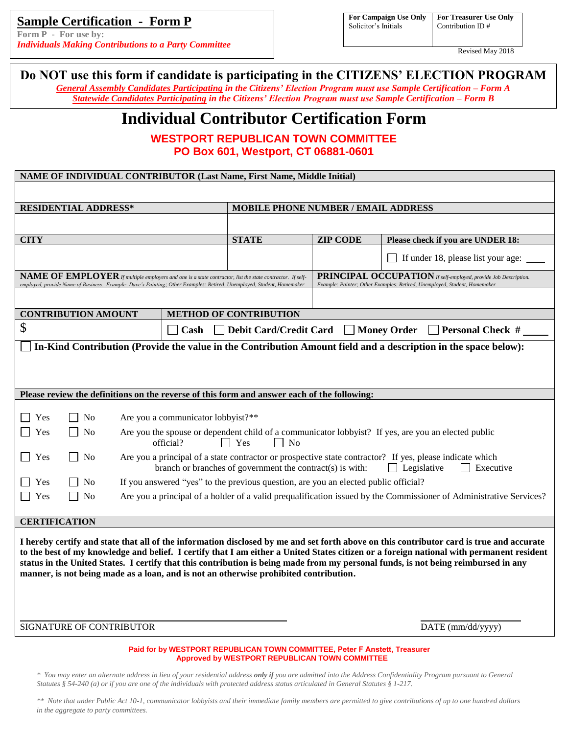## **Sample Certification - Form P**

**Form P - For use by:**  *Individuals Making Contributions to a Party Committee*

**NAME OF INDIVIDUAL CONTRIBUTOR (Last Name, First Name, Middle Initial)**

| For Campaign Use Only   F |  |
|---------------------------|--|
| Solicitor's Initials      |  |

**For Treasurer Use Only** Contribution ID #

Revised May 2018

# **Do NOT use this form if candidate is participating in the CITIZENS' ELECTION PROGRAM**

*General Assembly Candidates Participating in the Citizens' Election Program must use Sample Certification – Form A Statewide Candidates Participating in the Citizens' Election Program must use Sample Certification – Form B*

# **Individual Contributor Certification Form**

**WESTPORT REPUBLICAN TOWN COMMITTEE PO Box 601, Westport, CT 06881-0601**

| улице Ог пурту промет сотуткиро году (last frame, f ifst frame, мнене пина                                                                                                                                                                                                                                                                                                                                                                                                                                          |                                                                                                                                                                                                          |                                                                                                                                              |                                    |  |
|---------------------------------------------------------------------------------------------------------------------------------------------------------------------------------------------------------------------------------------------------------------------------------------------------------------------------------------------------------------------------------------------------------------------------------------------------------------------------------------------------------------------|----------------------------------------------------------------------------------------------------------------------------------------------------------------------------------------------------------|----------------------------------------------------------------------------------------------------------------------------------------------|------------------------------------|--|
| <b>RESIDENTIAL ADDRESS*</b>                                                                                                                                                                                                                                                                                                                                                                                                                                                                                         |                                                                                                                                                                                                          | <b>MOBILE PHONE NUMBER / EMAIL ADDRESS</b>                                                                                                   |                                    |  |
|                                                                                                                                                                                                                                                                                                                                                                                                                                                                                                                     |                                                                                                                                                                                                          |                                                                                                                                              |                                    |  |
| <b>CITY</b>                                                                                                                                                                                                                                                                                                                                                                                                                                                                                                         | <b>STATE</b>                                                                                                                                                                                             | <b>ZIP CODE</b>                                                                                                                              | Please check if you are UNDER 18:  |  |
|                                                                                                                                                                                                                                                                                                                                                                                                                                                                                                                     |                                                                                                                                                                                                          |                                                                                                                                              | If under 18, please list your age: |  |
| $\mathbf{NAME}\ \mathbf{OF}\ \mathbf{EMPLOVER}$ if multiple employers and one is a state contractor, list the state contractor. If self-<br>employed, provide Name of Business. Example: Dave's Painting; Other Examples: Retired, Unemployed, Student, Homemaker                                                                                                                                                                                                                                                   |                                                                                                                                                                                                          | PRINCIPAL OCCUPATION If self-employed, provide Job Description.<br>Example: Painter; Other Examples: Retired, Unemployed, Student, Homemaker |                                    |  |
|                                                                                                                                                                                                                                                                                                                                                                                                                                                                                                                     |                                                                                                                                                                                                          |                                                                                                                                              |                                    |  |
| <b>CONTRIBUTION AMOUNT</b>                                                                                                                                                                                                                                                                                                                                                                                                                                                                                          | <b>METHOD OF CONTRIBUTION</b>                                                                                                                                                                            |                                                                                                                                              |                                    |  |
| \$<br>Debit Card/Credit Card Money Order<br>Cash<br>$\Box$ Personal Check #                                                                                                                                                                                                                                                                                                                                                                                                                                         |                                                                                                                                                                                                          |                                                                                                                                              |                                    |  |
| In-Kind Contribution (Provide the value in the Contribution Amount field and a description in the space below):                                                                                                                                                                                                                                                                                                                                                                                                     |                                                                                                                                                                                                          |                                                                                                                                              |                                    |  |
|                                                                                                                                                                                                                                                                                                                                                                                                                                                                                                                     |                                                                                                                                                                                                          |                                                                                                                                              |                                    |  |
|                                                                                                                                                                                                                                                                                                                                                                                                                                                                                                                     |                                                                                                                                                                                                          |                                                                                                                                              |                                    |  |
| Please review the definitions on the reverse of this form and answer each of the following:                                                                                                                                                                                                                                                                                                                                                                                                                         |                                                                                                                                                                                                          |                                                                                                                                              |                                    |  |
| Yes<br>N <sub>0</sub><br>Are you a communicator lobbyist?**                                                                                                                                                                                                                                                                                                                                                                                                                                                         |                                                                                                                                                                                                          |                                                                                                                                              |                                    |  |
| N <sub>0</sub><br>Yes                                                                                                                                                                                                                                                                                                                                                                                                                                                                                               |                                                                                                                                                                                                          | Are you the spouse or dependent child of a communicator lobbyist? If yes, are you an elected public                                          |                                    |  |
|                                                                                                                                                                                                                                                                                                                                                                                                                                                                                                                     | $\Box$ Yes<br>official?<br>$\Box$ No                                                                                                                                                                     |                                                                                                                                              |                                    |  |
| Yes<br>N <sub>0</sub>                                                                                                                                                                                                                                                                                                                                                                                                                                                                                               | Are you a principal of a state contractor or prospective state contractor? If yes, please indicate which<br>branch or branches of government the contract(s) is with:<br>$\Box$ Legislative<br>Executive |                                                                                                                                              |                                    |  |
| Yes<br>No                                                                                                                                                                                                                                                                                                                                                                                                                                                                                                           | If you answered "yes" to the previous question, are you an elected public official?                                                                                                                      |                                                                                                                                              |                                    |  |
| Are you a principal of a holder of a valid prequalification issued by the Commissioner of Administrative Services?<br>Yes<br>N <sub>0</sub>                                                                                                                                                                                                                                                                                                                                                                         |                                                                                                                                                                                                          |                                                                                                                                              |                                    |  |
| <b>CERTIFICATION</b>                                                                                                                                                                                                                                                                                                                                                                                                                                                                                                |                                                                                                                                                                                                          |                                                                                                                                              |                                    |  |
| I hereby certify and state that all of the information disclosed by me and set forth above on this contributor card is true and accurate<br>to the best of my knowledge and belief. I certify that I am either a United States citizen or a foreign national with permanent resident<br>status in the United States. I certify that this contribution is being made from my personal funds, is not being reimbursed in any<br>manner, is not being made as a loan, and is not an otherwise prohibited contribution. |                                                                                                                                                                                                          |                                                                                                                                              |                                    |  |
| SIGNATURE OF CONTRIBUTOR                                                                                                                                                                                                                                                                                                                                                                                                                                                                                            | DATE (mm/dd/yyyy)                                                                                                                                                                                        |                                                                                                                                              |                                    |  |

**Paid for by WESTPORT REPUBLICAN TOWN COMMITTEE, Peter F Anstett, Treasurer Approved by WESTPORT REPUBLICAN TOWN COMMITTEE** 

*\* You may enter an alternate address in lieu of your residential address only if you are admitted into the Address Confidentiality Program pursuant to General Statutes § 54-240 (a) or if you are one of the individuals with protected address status articulated in General Statutes § 1-217.*

*\*\* Note that under Public Act 10-1, communicator lobbyists and their immediate family members are permitted to give contributions of up to one hundred dollars in the aggregate to party committees.*